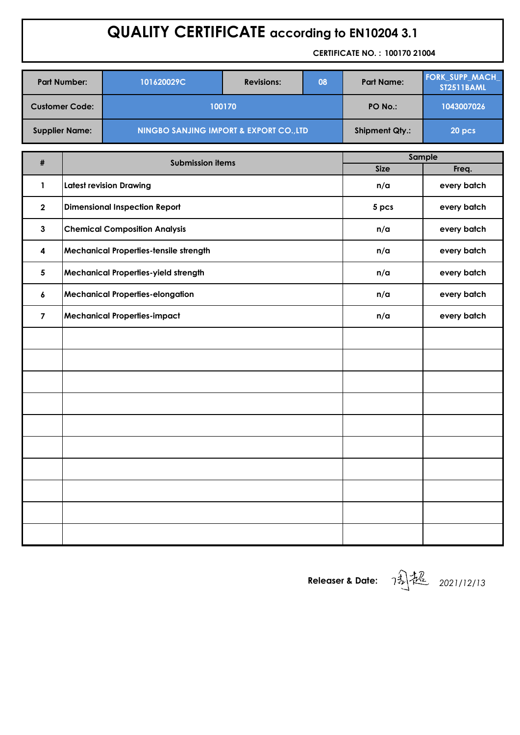# **QUALITY CERTIFICATE according to EN10204 3.1**

**CERTIFICATE NO. : 100170 21004**

| <b>Part Number:</b>   | 101620029C                                         | <b>Revisions:</b> | 08                    | <b>Part Name:</b> | <b>FORK_SUPP_MACH_</b><br><b>ST2511BAML</b> |  |
|-----------------------|----------------------------------------------------|-------------------|-----------------------|-------------------|---------------------------------------------|--|
| <b>Customer Code:</b> | 100170                                             | PO No.:           | 1043007026            |                   |                                             |  |
| <b>Supplier Name:</b> | <b>NINGBO SANJING IMPORT &amp; EXPORT CO., LTD</b> |                   | <b>Shipment Qty.:</b> | 20 pcs            |                                             |  |

| #              | <b>Submission items</b>                 | Sample      |             |  |  |  |
|----------------|-----------------------------------------|-------------|-------------|--|--|--|
|                |                                         | <b>Size</b> | Freq.       |  |  |  |
| $\mathbf{1}$   | <b>Latest revision Drawing</b>          | n/a         | every batch |  |  |  |
| $\mathbf{2}$   | <b>Dimensional Inspection Report</b>    | 5 pcs       | every batch |  |  |  |
| $\mathbf{3}$   | <b>Chemical Composition Analysis</b>    | n/a         | every batch |  |  |  |
| 4              | Mechanical Properties-tensile strength  | n/a         | every batch |  |  |  |
| $5\phantom{1}$ | Mechanical Properties-yield strength    | n/a         | every batch |  |  |  |
| 6              | <b>Mechanical Properties-elongation</b> | n/a         | every batch |  |  |  |
| $\overline{7}$ | <b>Mechanical Properties-impact</b>     | n/a         | every batch |  |  |  |
|                |                                         |             |             |  |  |  |
|                |                                         |             |             |  |  |  |
|                |                                         |             |             |  |  |  |
|                |                                         |             |             |  |  |  |
|                |                                         |             |             |  |  |  |
|                |                                         |             |             |  |  |  |
|                |                                         |             |             |  |  |  |
|                |                                         |             |             |  |  |  |
|                |                                         |             |             |  |  |  |
|                |                                         |             |             |  |  |  |

**Releaser & Date:** *2021/12/13*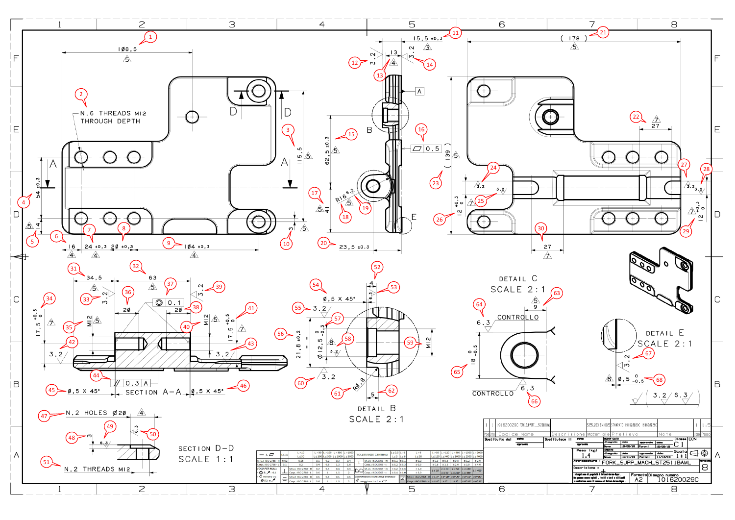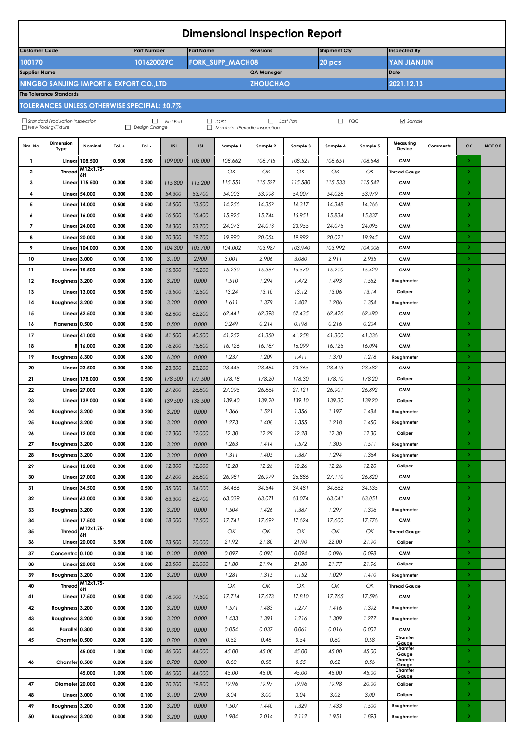| <b>Dimensional Inspection Report</b>                                    |                                                                                                                                                                                                    |                                       |                |                    |                 |                 |                         |                              |                  |                     |                  |                             |          |                            |               |
|-------------------------------------------------------------------------|----------------------------------------------------------------------------------------------------------------------------------------------------------------------------------------------------|---------------------------------------|----------------|--------------------|-----------------|-----------------|-------------------------|------------------------------|------------------|---------------------|------------------|-----------------------------|----------|----------------------------|---------------|
| <b>Customer Code</b>                                                    |                                                                                                                                                                                                    |                                       |                | <b>Part Number</b> |                 | Part Name       |                         | <b>Revisions</b>             |                  | <b>Shipment Qty</b> |                  | <b>Inspected By</b>         |          |                            |               |
| 100170                                                                  |                                                                                                                                                                                                    |                                       |                | 101620029C         |                 |                 | <b>FORK_SUPP_MACH08</b> | 20 pcs<br><b>YAN JIANJUN</b> |                  |                     |                  |                             |          |                            |               |
| <b>Supplier Name</b>                                                    |                                                                                                                                                                                                    |                                       |                |                    |                 |                 |                         | <b>QA Manager</b>            |                  |                     |                  | Date                        |          |                            |               |
| 2021.12.13<br>NINGBO SANJING IMPORT & EXPORT CO.,LTD<br><b>ZHOUCHAO</b> |                                                                                                                                                                                                    |                                       |                |                    |                 |                 |                         |                              |                  |                     |                  |                             |          |                            |               |
|                                                                         | <b>The Tolerance Standards</b>                                                                                                                                                                     |                                       |                |                    |                 |                 |                         |                              |                  |                     |                  |                             |          |                            |               |
|                                                                         | TOLERANCES UNLESS OTHERWISE SPECIFIAL: ±0.7%                                                                                                                                                       |                                       |                |                    |                 |                 |                         |                              |                  |                     |                  |                             |          |                            |               |
|                                                                         | $\Box$ IQPC<br>Last Part<br>$\Box$ FQC<br>Standard Production Inspection<br>$\sqrt{\ }$ Sample<br>$\Box$ First Part<br>New Tooing/Fixture<br>Design Change<br>$\Box$ Maintain /Periodic Inspection |                                       |                |                    |                 |                 |                         |                              |                  |                     |                  |                             |          |                            |               |
| Dim. No.                                                                | <b>Dimension</b><br><b>Type</b>                                                                                                                                                                    | Nominal                               | Tol. $+$       | Tol. -             | <b>USL</b>      | <b>LSL</b>      | Sample 1                | Sample 2                     | Sample 3         | Sample 4            | Sample 5         | Measuring<br>Device         | Comments | OK                         | <b>NOT OK</b> |
| $\mathbf{1}$                                                            |                                                                                                                                                                                                    | <b>Linear 108.500</b>                 | 0.500          | 0.500              | 109.000         | 108.000         | 108.662                 | 108.715                      | 108.521          | 108.651             | 108.548          | <b>CMM</b>                  |          | x                          |               |
| $\overline{\mathbf{2}}$                                                 | <b>Thread</b>                                                                                                                                                                                      | M12x1.75-<br>6H                       |                |                    |                 |                 | OK                      | ОК                           | OK               | ОК                  | ОК               | <b>Thread Gauge</b>         |          | $\mathbf{x}$               |               |
| 3                                                                       | Linear                                                                                                                                                                                             | 115.500                               | 0.300          | 0.300              | 115.800         | 115.200         | 115.551                 | 115.527                      | 115.580          | 115.533             | 115.542          | <b>CMM</b>                  |          | $\pmb{\mathsf{x}}$         |               |
| 4                                                                       |                                                                                                                                                                                                    | <b>Linear 54.000</b>                  | 0.300          | 0.300              | 54.300          | 53.700          | 54.003                  | 53.998                       | 54.007           | 54.028              | 53.979           | <b>CMM</b>                  |          | X                          |               |
| 5                                                                       |                                                                                                                                                                                                    | <b>Linear 14.000</b>                  | 0.500          | 0.500              | 14.500          | 13.500          | 14.256                  | 14.352                       | 14.317           | 14.348              | 14.266           | <b>CMM</b>                  |          | $\mathbf x$                |               |
| 6                                                                       |                                                                                                                                                                                                    | <b>Linear 16.000</b>                  | 0.500          | 0.600              | 16.500          | 15.400          | 15.925                  | 15.744                       | 15.951           | 15.834              | 15.837           | <b>CMM</b>                  |          | $\pmb{\mathsf{x}}$         |               |
| $\overline{7}$                                                          |                                                                                                                                                                                                    | <b>Linear 24.000</b>                  | 0.300          | 0.300              | 24.300          | 23.700          | 24.073                  | 24.013                       | 23.955           | 24.075              | 24.095           | <b>CMM</b>                  |          | $\mathbf x$                |               |
| 8                                                                       |                                                                                                                                                                                                    | <b>Linear 20.000</b>                  | 0.300          | 0.300              | 20.300          | 19.700          | 19.990                  | 20.054                       | 19.992           | 20.021              | 19.945           | <b>CMM</b>                  |          | $\mathbf{x}$               |               |
| 9                                                                       | Linear 3.000                                                                                                                                                                                       | <b>Linear 104.000</b>                 | 0.300          | 0.300              | 104.300         | 103.700         | 104.002                 | 103.987                      | 103.940          | 103.992             | 104.006          | <b>CMM</b>                  |          | $\mathbf x$<br>X.          |               |
| 10<br>11                                                                |                                                                                                                                                                                                    | <b>Linear 15.500</b>                  | 0.100<br>0.300 | 0.100<br>0.300     | 3.100<br>15.800 | 2.900<br>15.200 | 3.001<br>15.239         | 2.906<br>15.367              | 3.080<br>15.570  | 2.911<br>15.290     | 2.935<br>15.429  | <b>CMM</b><br><b>CMM</b>    |          | $\mathbf x$                |               |
| 12                                                                      | Roughness 3.200                                                                                                                                                                                    |                                       | 0.000          | 3.200              | 3.200           | 0.000           | 1.510                   | 1.294                        | 1.472            | 1.493               | 1.552            | Roughmeter                  |          | $\mathbf x$                |               |
| 13                                                                      | Linear                                                                                                                                                                                             | 13.000                                | 0.500          | 0.500              | 13.500          | 12.500          | 13.24                   | 13.10                        | 13.12            | 13.06               | 13.14            | Caliper                     |          | x                          |               |
| 14                                                                      | Roughness 3.200                                                                                                                                                                                    |                                       | 0.000          | 3.200              | 3.200           | 0.000           | 1.611                   | 1.379                        | 1.402            | 1.286               | 1.354            | Roughmeter                  |          | $\mathbf x$                |               |
| 15                                                                      |                                                                                                                                                                                                    | Linear 62.500                         | 0.300          | 0.300              | 62.800          | 62.200          | 62.441                  | 62.398                       | 62.435           | 62.426              | 62.490           | <b>CMM</b>                  |          | $\pmb{\mathsf{x}}$         |               |
| 16                                                                      | Planeness 0.500                                                                                                                                                                                    |                                       | 0.000          | 0.500              | 0.500           | 0.000           | 0.249                   | 0.214                        | 0.198            | 0.216               | 0.204            | <b>CMM</b>                  |          | X.                         |               |
| 17                                                                      |                                                                                                                                                                                                    | Linear 41.000                         | 0.500          | 0.500              | 41.500          | 40.500          | 41.252                  | 41.350                       | 41.258           | 41.300              | 41.336           | <b>CMM</b>                  |          | $\mathbf x$                |               |
| 18                                                                      |                                                                                                                                                                                                    | R 16.000                              | 0.200          | 0.200              | 16.200          | 15.800          | 16.126                  | 16.187                       | 16.099           | 16.125              | 16.094           | <b>CMM</b>                  |          | $\pmb{\mathsf{x}}$         |               |
| 19                                                                      | Roughness 6.300                                                                                                                                                                                    |                                       | 0.000          | 6.300              | 6.300           | 0.000           | 1.237                   | 1.209                        | 1.411            | 1.370               | 1.218            | Roughmeter                  |          | X.                         |               |
| 20                                                                      |                                                                                                                                                                                                    | Linear 23.500                         | 0.300          | 0.300              | 23.800          | 23.200          | 23.445                  | 23.484                       | 23.365           | 23.413              | 23.482           | <b>CMM</b>                  |          | X.                         |               |
| 21                                                                      |                                                                                                                                                                                                    | Linear 178,000                        | 0.500          | 0.500              | 178.500         | 177.500         | 178.18                  | 178.20                       | 178.30           | 178.10              | 178.20           | Caliper                     |          | $\mathbf x$                |               |
| 22                                                                      |                                                                                                                                                                                                    | Linear 27,000                         | 0.200          | 0.200              | 27.200          | 26.800          | 27.095                  | 26.864                       | 27.121           | 26.901              | 26.892           | <b>CMM</b>                  |          | X.                         |               |
| 23                                                                      |                                                                                                                                                                                                    | Linear 139,000                        | 0.500          | 0.500              | 139.500         | 138.500         | 139.40                  | 139.20                       | 139.10           | 139.30              | 139.20           | Caliper                     |          | X.                         |               |
| 24                                                                      | Roughness 3.200                                                                                                                                                                                    |                                       | 0.000          | 3.200              | 3.200           | 0.000           | 1.366                   | 1.521                        | 1.356            | 1.197               | 1.484            | Roughmeter                  |          | $\mathbf x$                |               |
| 25                                                                      | Roughness 3.200                                                                                                                                                                                    |                                       | 0.000          | 3.200              | 3.200           | 0.000           | 1.273                   | 1.408                        | 1.355            | 1.218               | 1.450            | Roughmeter                  |          | X.                         |               |
| 26                                                                      |                                                                                                                                                                                                    | Linear 12.000                         | 0.300          | 0.000              | 12.300          | 12.000          | 12.30                   | 12.29                        | 12.28            | 12.30               | 12.30            | Caliper                     |          | X.                         |               |
| 27                                                                      | Roughness 3.200                                                                                                                                                                                    |                                       | 0.000          | 3.200              | 3.200           | 0.000           | 1.263                   | 1.414                        | 1.572            | 1.305               | 1.511            | Roughmeter                  |          | $\mathbf X$                |               |
| 28                                                                      | Roughness 3.200                                                                                                                                                                                    |                                       | 0.000          | 3.200              | 3.200           | 0.000           | 1.311                   | 1.405                        | 1.387            | 1.294               | 1.364            | Roughmeter                  |          | $\mathbf X$                |               |
| 29                                                                      |                                                                                                                                                                                                    | Linear 12.000                         | 0.300          | 0.000              | 12.300          | 12.000          | 12.28                   | 12.26                        | 12.26            | 12.26               | 12.20            | Caliper                     |          | X.                         |               |
| 30                                                                      |                                                                                                                                                                                                    | <b>Linear 27.000</b>                  | 0.200          | 0.200              | 27.200          | 26.800          | 26.981                  | 26.979                       | 26.886           | 27.110              | 26.820           | <b>CMM</b>                  |          | $\mathbf x$<br>$\mathbf X$ |               |
| 31                                                                      |                                                                                                                                                                                                    | <b>Linear 34.500</b><br>Linear 63.000 | 0.500<br>0.300 | 0.500              | 35.000          | 34.000          | 34.466<br>63.039        | 34.544<br>63.071             | 34.481<br>63.074 | 34.662<br>63.041    | 34.535<br>63.051 | <b>CMM</b><br><b>CMM</b>    |          | X.                         |               |
| 32<br>33                                                                | Roughness 3.200                                                                                                                                                                                    |                                       | 0.000          | 0.300<br>3.200     | 63.300<br>3.200 | 62.700<br>0.000 | 1.504                   | 1.426                        | 1.387            | 1.297               | 1.306            | Roughmeter                  |          | $\mathbf X$                |               |
| 34                                                                      |                                                                                                                                                                                                    | Linear 17.500                         | 0.500          | 0.000              | 18.000          | 17.500          | 17.741                  | 17.692                       | 17.624           | 17.600              | 17.776           | <b>CMM</b>                  |          | $\mathbf{x}$               |               |
| 35                                                                      |                                                                                                                                                                                                    | Thread $M12x1.75$                     |                |                    |                 |                 | ОК                      | ОК                           | ОК               | ОК                  | ОК               | <b>Thread Gauge</b>         |          | X.                         |               |
| 36                                                                      |                                                                                                                                                                                                    | <b>Linear 20.000</b>                  | 3.500          | 0.000              | 23.500          | 20.000          | 21.92                   | 21.80                        | 21.90            | 22.00               | 21.90            | Caliper                     |          | $\mathbf X$                |               |
| 37                                                                      | Concentric 0.100                                                                                                                                                                                   |                                       | 0.000          | 0.100              | 0.100           | 0.000           | 0.097                   | 0.095                        | 0.094            | 0.096               | 0.098            | <b>CMM</b>                  |          | $\mathbf X$                |               |
| 38                                                                      |                                                                                                                                                                                                    | <b>Linear 20.000</b>                  | 3.500          | 0.000              | 23.500          | 20.000          | 21.80                   | 21.94                        | 21.80            | 21.77               | 21.96            | Caliper                     |          | X.                         |               |
| 39                                                                      | Roughness 3.200                                                                                                                                                                                    |                                       | 0.000          | 3.200              | 3.200           | 0.000           | 1.281                   | 1.315                        | 1.152            | 1.029               | 1.410            | Roughmeter                  |          | $\mathbf X$                |               |
| 40                                                                      |                                                                                                                                                                                                    | Thread M12x1.75                       |                |                    |                 |                 | OK                      | ОК                           | ОК               | ОК                  | ОК               | <b>Thread Gauge</b>         |          | $\mathbf X$                |               |
| 41                                                                      |                                                                                                                                                                                                    | Linear 17.500                         | 0.500          | 0.000              | 18.000          | 17.500          | 17.714                  | 17.673                       | 17.810           | 17.765              | 17.596           | <b>CMM</b>                  |          | X.                         |               |
| 42                                                                      | Roughness 3.200                                                                                                                                                                                    |                                       | 0.000          | 3.200              | 3.200           | 0.000           | 1.571                   | 1.483                        | 1.277            | 1.416               | 1.392            | Roughmeter                  |          | X.                         |               |
| 43                                                                      | Roughness 3.200                                                                                                                                                                                    |                                       | 0.000          | 3.200              | 3.200           | 0.000           | 1.433                   | 1.391                        | 1.216            | 1.309               | 1.277            | Roughmeter                  |          | $\mathbf x$                |               |
| 44                                                                      | Parallel 0.300                                                                                                                                                                                     |                                       | 0.000          | 0.300              | 0.300           | 0.000           | 0.054                   | 0.037                        | 0.061            | 0.016               | 0.002            | <b>CMM</b>                  |          | X.                         |               |
| 45                                                                      | Chamfer 0.500                                                                                                                                                                                      |                                       | 0.200          | 0.200              | 0.700           | 0.300           | 0.52                    | 0.48                         | 0.54             | 0.60                | 0.58             | Chamfer<br>Gauge            |          | $\mathbf X$                |               |
|                                                                         |                                                                                                                                                                                                    | 45.000                                | 1.000          | 1.000              | 46.000          | 44.000          | 45.00                   | 45.00                        | 45.00            | 45.00               | 45.00            | Chamfer<br>Gauae            |          | $\mathbf X$                |               |
| 46                                                                      | Chamfer 0.500                                                                                                                                                                                      |                                       | 0.200          | 0.200              | 0.700           | 0.300           | 0.60                    | 0.58                         | 0.55             | 0.62                | 0.56             | Chamfer<br>Gauge<br>Chamfer |          | X.                         |               |
|                                                                         |                                                                                                                                                                                                    | 45.000                                | 1.000          | 1.000              | 46.000          | 44.000          | 45.00                   | 45.00                        | 45.00            | 45.00               | 45.00            | Gauge                       |          | $\mathbf X$                |               |
| 47                                                                      | Diameter 20.000                                                                                                                                                                                    |                                       | 0.200          | 0.200              | 20.200          | 19.800          | 19.96                   | 19.97                        | 19.96            | 19.98               | 20.00            | Caliper                     |          | $\mathbf X$                |               |
| 48                                                                      | Linear 3.000                                                                                                                                                                                       |                                       | 0.100          | 0.100              | 3.100           | 2.900           | 3.04                    | 3.00                         | 3.04             | 3.02                | 3.00             | Caliper                     |          | X.                         |               |
| 49                                                                      | Roughness 3.200                                                                                                                                                                                    |                                       | 0.000          | 3.200              | 3.200           | 0.000           | 1.507                   | 1.440                        | 1.329            | 1.433               | 1.500            | Roughmeter                  |          | $\mathbf X$                |               |
| 50                                                                      | Roughness 3.200                                                                                                                                                                                    |                                       | 0.000          | 3.200              | 3.200           | 0.000           | 1.984                   | 2.014                        | 2.112            | 1.951               | 1.893            | Roughmeter                  |          | $\mathbf X$                |               |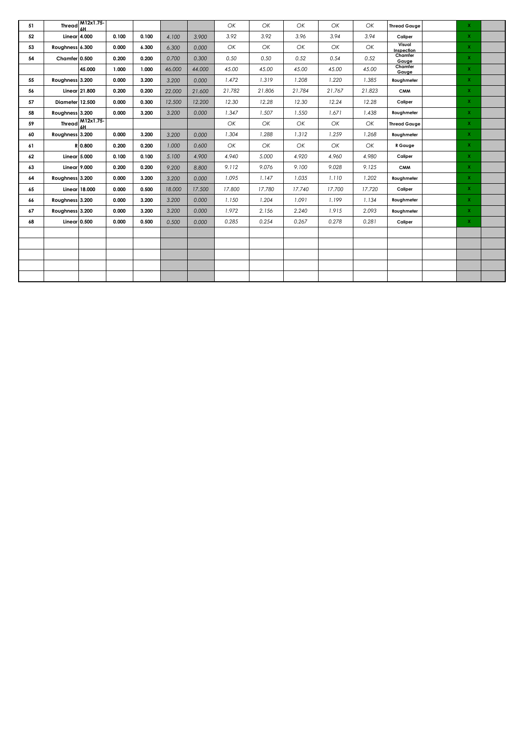| 51 | Thread          | M12x1.75<br>6H                             |       |       |        |        | OK     | OK     | ОК     | OK     | OK     | <b>Thread Gauge</b>  | $\mathbf{x}$   |  |
|----|-----------------|--------------------------------------------|-------|-------|--------|--------|--------|--------|--------|--------|--------|----------------------|----------------|--|
| 52 | Linear 4.000    |                                            | 0.100 | 0.100 | 4.100  | 3.900  | 3.92   | 3.92   | 3.96   | 3.94   | 3.94   | Caliper              | $\mathbf{x}$   |  |
| 53 | Roughness 6.300 |                                            | 0.000 | 6.300 | 6.300  | 0.000  | OK     | OK     | ОК     | OK     | ОК     | Visual<br>Inspection | $\mathbf{x}$   |  |
| 54 | Chamfer 0.500   |                                            | 0.200 | 0.200 | 0.700  | 0.300  | 0.50   | 0.50   | 0.52   | 0.54   | 0.52   | Chamfer<br>Gauge     | $\mathbf{x}$   |  |
|    |                 | 45.000                                     | 1.000 | 1.000 | 46.000 | 44.000 | 45.00  | 45.00  | 45.00  | 45.00  | 45.00  | Chamfer<br>Gauge     | $\mathbf{x}$   |  |
| 55 | Roughness 3.200 |                                            | 0.000 | 3.200 | 3.200  | 0.000  | 1.472  | 1.319  | 1.208  | 1.220  | 1.385  | Roughmeter           | $\mathbf{x}$   |  |
| 56 | Linear 21.800   |                                            | 0.200 | 0.200 | 22,000 | 21,600 | 21.782 | 21.806 | 21.784 | 21.767 | 21.823 | <b>CMM</b>           | $\mathbf{x}$   |  |
| 57 | Diameter 12.500 |                                            | 0.000 | 0.300 | 12.500 | 12.200 | 12.30  | 12.28  | 12.30  | 12.24  | 12.28  | Caliper              | $\mathbf{x}$   |  |
| 58 | Roughness 3.200 |                                            | 0.000 | 3.200 | 3.200  | 0.000  | 1.347  | 1.507  | 1.550  | 1.671  | 1.438  | Roughmeter           | $\mathbf{x}$   |  |
| 59 |                 | Thread $\frac{\text{M12x1.75}}{\text{6H}}$ |       |       |        |        | OK     | ОК     | ОК     | OK     | ОК     | <b>Thread Gauge</b>  | $\mathbf{x}$   |  |
| 60 | Roughness 3.200 |                                            | 0.000 | 3.200 | 3.200  | 0.000  | 1.304  | 1.288  | 1.312  | 1.259  | 1.268  | Roughmeter           | $\mathbf{x}$   |  |
| 61 |                 | R 0.800                                    | 0.200 | 0.200 | 1.000  | 0.600  | OK     | ОК     | ОК     | OK     | OK     | R Gauge              | $\mathbf{x}$   |  |
| 62 | Linear 5.000    |                                            | 0.100 | 0.100 | 5.100  | 4.900  | 4.940  | 5.000  | 4.920  | 4.960  | 4.980  | Caliper              | $\mathbf{x}$   |  |
| 63 | Linear 9.000    |                                            | 0.200 | 0.200 | 9.200  | 8.800  | 9.112  | 9.076  | 9.100  | 9.028  | 9.125  | <b>CMM</b>           | $\mathbf{X}$   |  |
| 64 | Roughness 3.200 |                                            | 0.000 | 3.200 | 3.200  | 0.000  | 1.095  | 1.147  | 1.035  | 1.110  | 1.202  | Roughmeter           | $\mathbf{x}$   |  |
| 65 | Linear 18.000   |                                            | 0.000 | 0.500 | 18.000 | 17.500 | 17.800 | 17.780 | 17.740 | 17.700 | 17.720 | Caliper              | $\mathbf{x}$   |  |
| 66 | Roughness 3.200 |                                            | 0.000 | 3.200 | 3.200  | 0.000  | 1.150  | 1.204  | 1.091  | 1.199  | 1.134  | Roughmeter           | $\mathbf{x}$   |  |
| 67 | Roughness 3.200 |                                            | 0.000 | 3.200 | 3.200  | 0.000  | 1.972  | 2.156  | 2.240  | 1.915  | 2.093  | Roughmeter           | $\mathbf{x}$   |  |
| 68 | Linear $0.500$  |                                            | 0.000 | 0.500 | 0.500  | 0.000  | 0.285  | 0.254  | 0.267  | 0.278  | 0.281  | Caliper              | $\mathsf{X}^-$ |  |
|    |                 |                                            |       |       |        |        |        |        |        |        |        |                      |                |  |
|    |                 |                                            |       |       |        |        |        |        |        |        |        |                      |                |  |
|    |                 |                                            |       |       |        |        |        |        |        |        |        |                      |                |  |
|    |                 |                                            |       |       |        |        |        |        |        |        |        |                      |                |  |
|    |                 |                                            |       |       |        |        |        |        |        |        |        |                      |                |  |